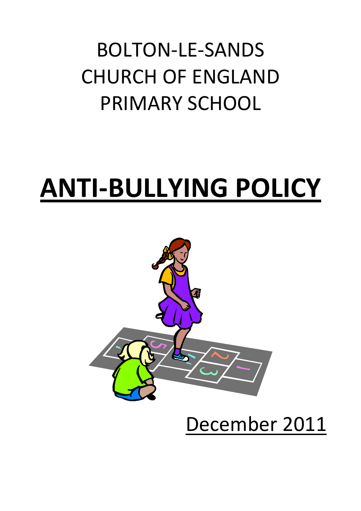## BOLTON-LE-SANDS CHURCH OF ENGLAND PRIMARY SCHOOL

# ANTI-BULLYING POLICY



## December 2011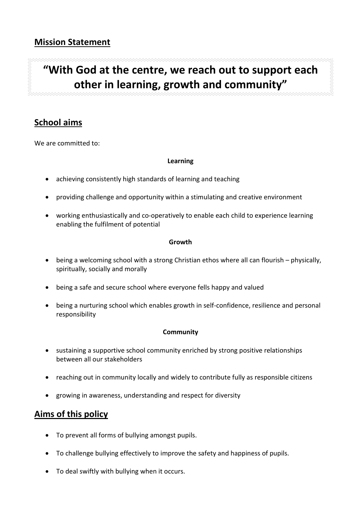### "With God at the centre, we reach out to support each other in learning, growth and community"

#### School aims

We are committed to:

#### Learning

- achieving consistently high standards of learning and teaching
- providing challenge and opportunity within a stimulating and creative environment
- working enthusiastically and co-operatively to enable each child to experience learning enabling the fulfilment of potential

#### Growth

- being a welcoming school with a strong Christian ethos where all can flourish physically, spiritually, socially and morally
- being a safe and secure school where everyone fells happy and valued
- being a nurturing school which enables growth in self-confidence, resilience and personal responsibility

#### **Community**

- sustaining a supportive school community enriched by strong positive relationships between all our stakeholders
- reaching out in community locally and widely to contribute fully as responsible citizens
- growing in awareness, understanding and respect for diversity

#### Aims of this policy

- To prevent all forms of bullying amongst pupils.
- To challenge bullying effectively to improve the safety and happiness of pupils.
- To deal swiftly with bullying when it occurs.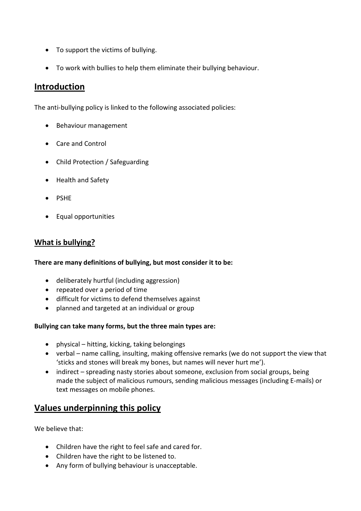- To support the victims of bullying.
- To work with bullies to help them eliminate their bullying behaviour.

#### Introduction

The anti-bullying policy is linked to the following associated policies:

- Behaviour management
- Care and Control
- Child Protection / Safeguarding
- Health and Safety
- PSHE
- Equal opportunities

#### What is bullying?

#### There are many definitions of bullying, but most consider it to be:

- deliberately hurtful (including aggression)
- repeated over a period of time
- difficult for victims to defend themselves against
- planned and targeted at an individual or group

#### Bullying can take many forms, but the three main types are:

- physical hitting, kicking, taking belongings
- verbal name calling, insulting, making offensive remarks (we do not support the view that 'sticks and stones will break my bones, but names will never hurt me').
- indirect spreading nasty stories about someone, exclusion from social groups, being made the subject of malicious rumours, sending malicious messages (including E-mails) or text messages on mobile phones.

#### Values underpinning this policy

We believe that:

- Children have the right to feel safe and cared for.
- Children have the right to be listened to.
- Any form of bullying behaviour is unacceptable.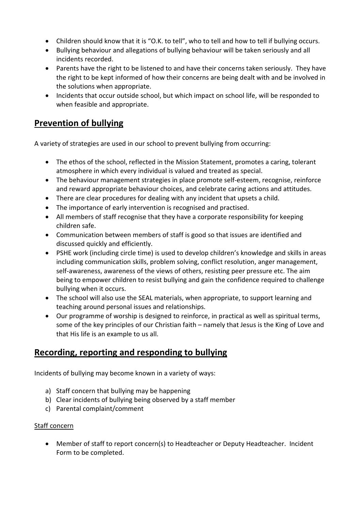- Children should know that it is "O.K. to tell", who to tell and how to tell if bullying occurs.
- Bullying behaviour and allegations of bullying behaviour will be taken seriously and all incidents recorded.
- Parents have the right to be listened to and have their concerns taken seriously. They have the right to be kept informed of how their concerns are being dealt with and be involved in the solutions when appropriate.
- Incidents that occur outside school, but which impact on school life, will be responded to when feasible and appropriate.

#### Prevention of bullying

A variety of strategies are used in our school to prevent bullying from occurring:

- The ethos of the school, reflected in the Mission Statement, promotes a caring, tolerant atmosphere in which every individual is valued and treated as special.
- The behaviour management strategies in place promote self-esteem, recognise, reinforce and reward appropriate behaviour choices, and celebrate caring actions and attitudes.
- There are clear procedures for dealing with any incident that upsets a child.
- The importance of early intervention is recognised and practised.
- All members of staff recognise that they have a corporate responsibility for keeping children safe.
- Communication between members of staff is good so that issues are identified and discussed quickly and efficiently.
- PSHE work (including circle time) is used to develop children's knowledge and skills in areas including communication skills, problem solving, conflict resolution, anger management, self-awareness, awareness of the views of others, resisting peer pressure etc. The aim being to empower children to resist bullying and gain the confidence required to challenge bullying when it occurs.
- The school will also use the SEAL materials, when appropriate, to support learning and teaching around personal issues and relationships.
- Our programme of worship is designed to reinforce, in practical as well as spiritual terms, some of the key principles of our Christian faith – namely that Jesus is the King of Love and that His life is an example to us all.

#### Recording, reporting and responding to bullying

Incidents of bullying may become known in a variety of ways:

- a) Staff concern that bullying may be happening
- b) Clear incidents of bullying being observed by a staff member
- c) Parental complaint/comment

#### Staff concern

• Member of staff to report concern(s) to Headteacher or Deputy Headteacher. Incident Form to be completed.